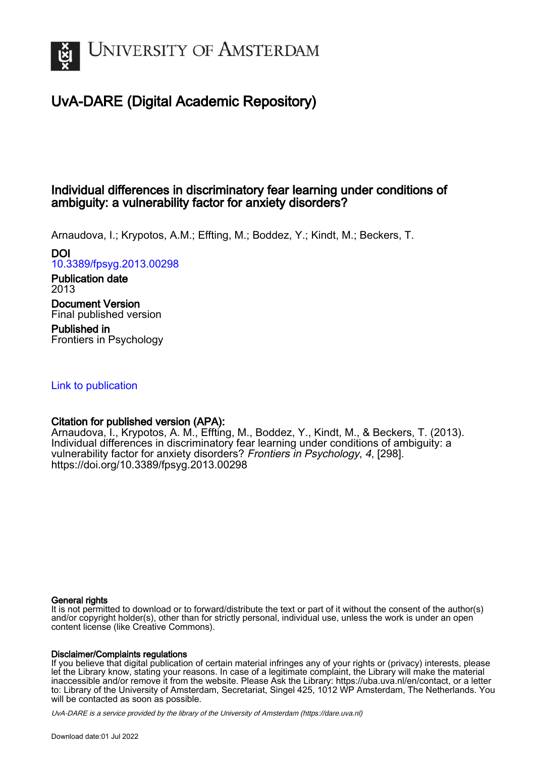

# UvA-DARE (Digital Academic Repository)

# Individual differences in discriminatory fear learning under conditions of ambiguity: a vulnerability factor for anxiety disorders?

Arnaudova, I.; Krypotos, A.M.; Effting, M.; Boddez, Y.; Kindt, M.; Beckers, T.

## DOI

[10.3389/fpsyg.2013.00298](https://doi.org/10.3389/fpsyg.2013.00298)

#### Publication date 2013

## Document Version Final published version

Published in Frontiers in Psychology

## [Link to publication](https://dare.uva.nl/personal/pure/en/publications/individual-differences-in-discriminatory-fear-learning-under-conditions-of-ambiguity-a-vulnerability-factor-for-anxiety-disorders(653c1ce5-2b94-4678-9e0d-06ff12f9b3c0).html)

## Citation for published version (APA):

Arnaudova, I., Krypotos, A. M., Effting, M., Boddez, Y., Kindt, M., & Beckers, T. (2013). Individual differences in discriminatory fear learning under conditions of ambiguity: a vulnerability factor for anxiety disorders? Frontiers in Psychology, 4, [298]. <https://doi.org/10.3389/fpsyg.2013.00298>

## General rights

It is not permitted to download or to forward/distribute the text or part of it without the consent of the author(s) and/or copyright holder(s), other than for strictly personal, individual use, unless the work is under an open content license (like Creative Commons).

## Disclaimer/Complaints regulations

If you believe that digital publication of certain material infringes any of your rights or (privacy) interests, please let the Library know, stating your reasons. In case of a legitimate complaint, the Library will make the material inaccessible and/or remove it from the website. Please Ask the Library: https://uba.uva.nl/en/contact, or a letter to: Library of the University of Amsterdam, Secretariat, Singel 425, 1012 WP Amsterdam, The Netherlands. You will be contacted as soon as possible.

UvA-DARE is a service provided by the library of the University of Amsterdam (http*s*://dare.uva.nl)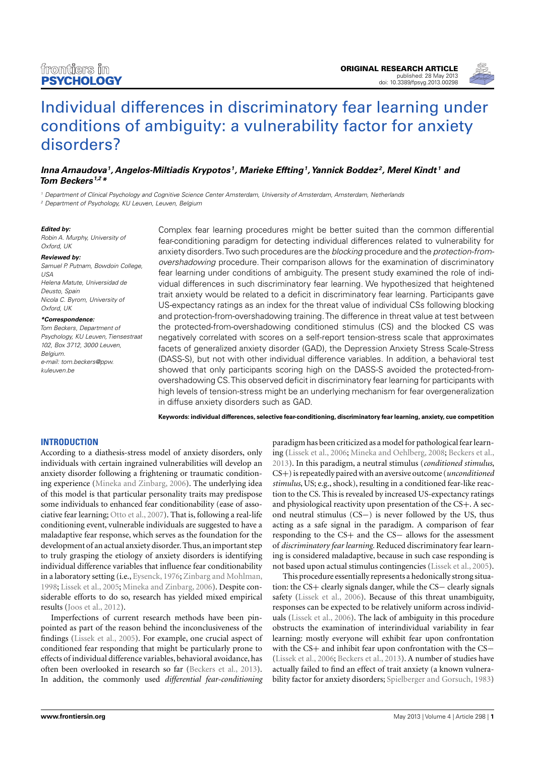

# [Individual differences in discriminatory fear learning under](http://www.frontiersin.org/Personality_Science_and_Individual_Differences/10.3389/fpsyg.2013.00298/abstract) [conditions of ambiguity: a vulnerability factor for anxiety](http://www.frontiersin.org/Personality_Science_and_Individual_Differences/10.3389/fpsyg.2013.00298/abstract) [disorders?](http://www.frontiersin.org/Personality_Science_and_Individual_Differences/10.3389/fpsyg.2013.00298/abstract)

## **[Inna Arnaudova](http://www.frontiersin.org/Community/WhosWhoActivity.aspx?sname=InnaArnaudova&UID=74007)<sup>1</sup> , [Angelos-Miltiadis Krypotos](http://www.frontiersin.org/Community/WhosWhoActivity.aspx?sname=AngelosKrypotos&UID=81855) <sup>1</sup> , [Marieke Effting](http://www.frontiersin.org/Community/WhosWhoActivity.aspx?sname=MariekeEffting&UID=88661)<sup>1</sup> ,[Yannick Boddez](http://www.frontiersin.org/Community/WhosWhoActivity.aspx?sname=YannickBoddez&UID=51051) <sup>2</sup> , [Merel Kindt](http://www.frontiersin.org/Community/WhosWhoActivity.aspx?sname=MerelKindt&UID=68835) <sup>1</sup> and [Tom Beckers](http://www.frontiersin.org/Community/WhosWhoActivity.aspx?sname=TomBeckers&UID=10581) 1,2\***

<sup>1</sup> Department of Clinical Psychology and Cognitive Science Center Amsterdam, University of Amsterdam, Amsterdam, Netherlands <sup>2</sup> Department of Psychology, KU Leuven, Leuven, Belgium

#### **Edited by:**

Robin A. Murphy, University of Oxford, UK

#### **Reviewed by:**

Samuel P. Putnam, Bowdoin College, USA Helena Matute, Universidad de Deusto, Spain Nicola C. Byrom, University of Oxford, UK

#### **\*Correspondence:**

Tom Beckers, Department of Psychology, KU Leuven, Tiensestraat 102, Box 3712, 3000 Leuven, Belgium. e-mail: [tom.beckers@ppw.](mailto:tom.beckers@ppw.kuleuven.be) [kuleuven.be](mailto:tom.beckers@ppw.kuleuven.be)

Complex fear learning procedures might be better suited than the common differential fear-conditioning paradigm for detecting individual differences related to vulnerability for anxiety disorders.Two such procedures are the blocking procedure and the protection-fromovershadowing procedure. Their comparison allows for the examination of discriminatory fear learning under conditions of ambiguity. The present study examined the role of individual differences in such discriminatory fear learning. We hypothesized that heightened trait anxiety would be related to a deficit in discriminatory fear learning. Participants gave US-expectancy ratings as an index for the threat value of individual CSs following blocking and protection-from-overshadowing training.The difference in threat value at test between the protected-from-overshadowing conditioned stimulus (CS) and the blocked CS was negatively correlated with scores on a self-report tension-stress scale that approximates facets of generalized anxiety disorder (GAD), the Depression Anxiety Stress Scale-Stress (DASS-S), but not with other individual difference variables. In addition, a behavioral test showed that only participants scoring high on the DASS-S avoided the protected-fromovershadowing CS.This observed deficit in discriminatory fear learning for participants with high levels of tension-stress might be an underlying mechanism for fear overgeneralization in diffuse anxiety disorders such as GAD.

**Keywords: individual differences, selective fear-conditioning, discriminatory fear learning, anxiety, cue competition**

## **INTRODUCTION**

According to a diathesis-stress model of anxiety disorders, only individuals with certain ingrained vulnerabilities will develop an anxiety disorder following a frightening or traumatic conditioning experience [\(Mineka and Zinbarg, 2006\)](#page-8-0). The underlying idea of this model is that particular personality traits may predispose some individuals to enhanced fear conditionability (ease of associative fear learning; [Otto et al., 2007\)](#page-8-1). That is, following a real-life conditioning event, vulnerable individuals are suggested to have a maladaptive fear response, which serves as the foundation for the development of an actual anxiety disorder. Thus, an important step to truly grasping the etiology of anxiety disorders is identifying individual difference variables that influence fear conditionability in a laboratory setting (i.e., [Eysenck, 1976;](#page-8-2) [Zinbarg and Mohlman,](#page-9-0) [1998;](#page-9-0) [Lissek et al., 2005;](#page-8-3) [Mineka and Zinbarg, 2006\)](#page-8-0). Despite considerable efforts to do so, research has yielded mixed empirical results [\(Joos et al., 2012\)](#page-8-4).

Imperfections of current research methods have been pinpointed as part of the reason behind the inconclusiveness of the findings [\(Lissek et al., 2005\)](#page-8-3). For example, one crucial aspect of conditioned fear responding that might be particularly prone to effects of individual difference variables, behavioral avoidance, has often been overlooked in research so far [\(Beckers et al., 2013\)](#page-7-0). In addition, the commonly used *differential fear-conditioning*

paradigm has been criticized as a model for pathological fear learning [\(Lissek et al., 2006;](#page-8-5) [Mineka and Oehlberg, 2008;](#page-8-6) [Beckers et al.,](#page-7-0) [2013\)](#page-7-0). In this paradigm, a neutral stimulus (*conditioned stimulus*, CS+) is repeatedly paired with an aversive outcome (*unconditioned stimulus*, US; e.g., shock), resulting in a conditioned fear-like reaction to the CS. This is revealed by increased US-expectancy ratings and physiological reactivity upon presentation of the CS+. A second neutral stimulus (CS−) is never followed by the US, thus acting as a safe signal in the paradigm. A comparison of fear responding to the CS+ and the CS− allows for the assessment of *discriminatory fear learning.* Reduced discriminatory fear learning is considered maladaptive, because in such case responding is not based upon actual stimulus contingencies [\(Lissek et al., 2005\)](#page-8-3).

This procedure essentially represents a hedonically strong situation: the CS+ clearly signals danger, while the CS− clearly signals safety [\(Lissek et al., 2006\)](#page-8-5). Because of this threat unambiguity, responses can be expected to be relatively uniform across individuals [\(Lissek et al., 2006\)](#page-8-5). The lack of ambiguity in this procedure obstructs the examination of interindividual variability in fear learning: mostly everyone will exhibit fear upon confrontation with the CS+ and inhibit fear upon confrontation with the CS− [\(Lissek et al., 2006;](#page-8-5) [Beckers et al., 2013\)](#page-7-0). A number of studies have actually failed to find an effect of trait anxiety (a known vulnerability factor for anxiety disorders; [Spielberger and Gorsuch, 1983\)](#page-9-1)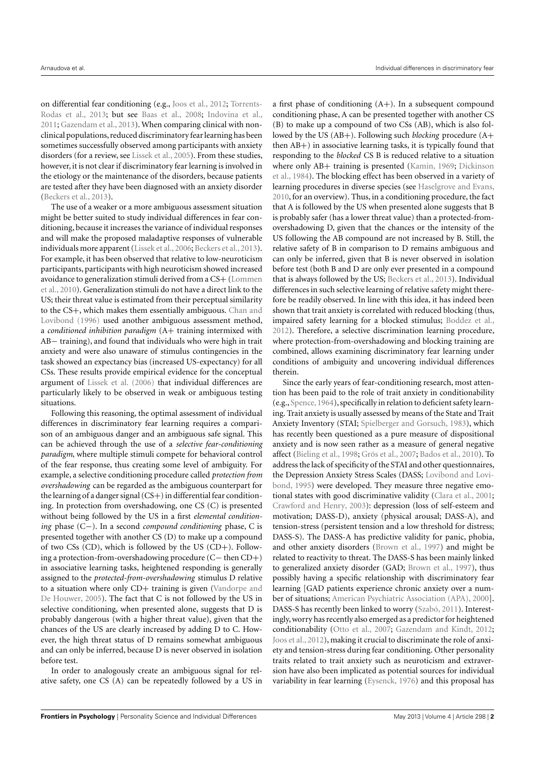on differential fear conditioning (e.g., [Joos et al.,](#page-8-4) [2012;](#page-8-4) [Torrents-](#page-9-2)[Rodas et al.,](#page-9-2) [2013;](#page-9-2) but see [Baas et al.,](#page-7-1) [2008;](#page-7-1) [Indovina et al.,](#page-8-7) [2011;](#page-8-7) [Gazendam et al.,](#page-8-8) [2013\)](#page-8-8). When comparing clinical with nonclinical populations, reduced discriminatoryfear learning has been sometimes successfully observed among participants with anxiety disorders (for a review, see [Lissek et al.,](#page-8-3) [2005\)](#page-8-3). From these studies, however, it is not clear if discriminatory fear learning is involved in the etiology or the maintenance of the disorders, because patients are tested after they have been diagnosed with an anxiety disorder [\(Beckers et al.,](#page-7-0) [2013\)](#page-7-0).

The use of a weaker or a more ambiguous assessment situation might be better suited to study individual differences in fear conditioning, because it increases the variance of individual responses and will make the proposed maladaptive responses of vulnerable individuals more apparent [\(Lissek et al.,](#page-8-5) [2006;](#page-8-5) [Beckers et al.,](#page-7-0) [2013\)](#page-7-0). For example, it has been observed that relative to low-neuroticism participants, participants with high neuroticism showed increased avoidance to generalization stimuli derived from a CS+ [\(Lommen](#page-8-9) [et al.,](#page-8-9) [2010\)](#page-8-9). Generalization stimuli do not have a direct link to the US; their threat value is estimated from their perceptual similarity to the CS+, which makes them essentially ambiguous. [Chan and](#page-8-10) [Lovibond](#page-8-10) [\(1996\)](#page-8-10) used another ambiguous assessment method, a *conditioned inhibition paradigm* (A+ training intermixed with AB− training), and found that individuals who were high in trait anxiety and were also unaware of stimulus contingencies in the task showed an expectancy bias (increased US-expectancy) for all CSs. These results provide empirical evidence for the conceptual argument of [Lissek et al.](#page-8-5) [\(2006\)](#page-8-5) that individual differences are particularly likely to be observed in weak or ambiguous testing situations.

Following this reasoning, the optimal assessment of individual differences in discriminatory fear learning requires a comparison of an ambiguous danger and an ambiguous safe signal. This can be achieved through the use of a *selective fear-conditioning paradigm*, where multiple stimuli compete for behavioral control of the fear response, thus creating some level of ambiguity. For example, a selective conditioning procedure called *protection from overshadowing* can be regarded as the ambiguous counterpart for the learning of a danger signal  $(CS+)$  in differential fear conditioning. In protection from overshadowing, one CS (C) is presented without being followed by the US in a first *elemental conditioning* phase (C−). In a second *compound conditioning* phase, C is presented together with another CS (D) to make up a compound of two  $CSs$  (CD), which is followed by the US (CD+). Following a protection-from-overshadowing procedure (C− then CD+) in associative learning tasks, heightened responding is generally assigned to the *protected-from-overshadowing* stimulus D relative to a situation where only CD+ training is given [\(Vandorpe and](#page-9-3) [De Houwer,](#page-9-3) [2005\)](#page-9-3). The fact that C is not followed by the US in selective conditioning, when presented alone, suggests that D is probably dangerous (with a higher threat value), given that the chances of the US are clearly increased by adding D to C. However, the high threat status of D remains somewhat ambiguous and can only be inferred, because D is never observed in isolation before test.

In order to analogously create an ambiguous signal for relative safety, one CS (A) can be repeatedly followed by a US in a first phase of conditioning (A+). In a subsequent compound conditioning phase, A can be presented together with another CS (B) to make up a compound of two CSs (AB), which is also followed by the US (AB+). Following such *blocking* procedure (A+ then AB+) in associative learning tasks, it is typically found that responding to the *blocked* CS B is reduced relative to a situation where only AB+ training is presented [\(Kamin,](#page-8-11) [1969;](#page-8-11) [Dickinson](#page-8-12) [et al.,](#page-8-12) [1984\)](#page-8-12). The blocking effect has been observed in a variety of learning procedures in diverse species (see [Haselgrove and Evans,](#page-8-13) [2010,](#page-8-13) for an overview). Thus, in a conditioning procedure, the fact that A is followed by the US when presented alone suggests that B is probably safer (has a lower threat value) than a protected-fromovershadowing D, given that the chances or the intensity of the US following the AB compound are not increased by B. Still, the relative safety of B in comparison to D remains ambiguous and can only be inferred, given that B is never observed in isolation before test (both B and D are only ever presented in a compound that is always followed by the US; [Beckers et al.,](#page-7-0) [2013\)](#page-7-0). Individual differences in such selective learning of relative safety might therefore be readily observed. In line with this idea, it has indeed been shown that trait anxiety is correlated with reduced blocking (thus, impaired safety learning for a blocked stimulus; [Boddez et al.,](#page-8-14) [2012\)](#page-8-14). Therefore, a selective discrimination learning procedure, where protection-from-overshadowing and blocking training are combined, allows examining discriminatory fear learning under conditions of ambiguity and uncovering individual differences therein.

Since the early years of fear-conditioning research, most attention has been paid to the role of trait anxiety in conditionability (e.g., [Spence,](#page-9-4) [1964\)](#page-9-4), specifically in relation to deficient safety learning. Trait anxiety is usually assessed by means of the State and Trait Anxiety Inventory (STAI; [Spielberger and Gorsuch,](#page-9-1) [1983\)](#page-9-1), which has recently been questioned as a pure measure of dispositional anxiety and is now seen rather as a measure of general negative affect [\(Bieling et al.,](#page-8-15) [1998;](#page-8-15) [Grös et al.,](#page-8-16) [2007;](#page-8-16) [Bados et al.,](#page-7-2) [2010\)](#page-7-2). To address the lack of specificity of the STAI and other questionnaires, the Depression Anxiety Stress Scales (DASS; [Lovibond and Lovi](#page-8-17)[bond,](#page-8-17) [1995\)](#page-8-17) were developed. They measure three negative emotional states with good discriminative validity [\(Clara et al.,](#page-8-18) [2001;](#page-8-18) [Crawford and Henry,](#page-8-19) [2003\)](#page-8-19): depression (loss of self-esteem and motivation; DASS-D), anxiety (physical arousal; DASS-A), and tension-stress (persistent tension and a low threshold for distress; DASS-S). The DASS-A has predictive validity for panic, phobia, and other anxiety disorders [\(Brown et al.,](#page-8-20) [1997\)](#page-8-20) and might be related to reactivity to threat. The DASS-S has been mainly linked to generalized anxiety disorder (GAD; [Brown et al.,](#page-8-20) [1997\)](#page-8-20), thus possibly having a specific relationship with discriminatory fear learning [GAD patients experience chronic anxiety over a number of situations; [American Psychiatric Association \(APA\),](#page-7-3) [2000\]](#page-7-3). DASS-S has recently been linked to worry [\(Szabó,](#page-9-5) [2011\)](#page-9-5). Interestingly,worry has recently also emerged as a predictor for heightened conditionability [\(Otto et al.,](#page-8-1) [2007;](#page-8-1) [Gazendam and Kindt,](#page-8-21) [2012;](#page-8-21) [Joos et al.,](#page-8-4) [2012\)](#page-8-4), making it crucial to discriminate the role of anxiety and tension-stress during fear conditioning. Other personality traits related to trait anxiety such as neuroticism and extraversion have also been implicated as potential sources for individual variability in fear learning [\(Eysenck,](#page-8-2) [1976\)](#page-8-2) and this proposal has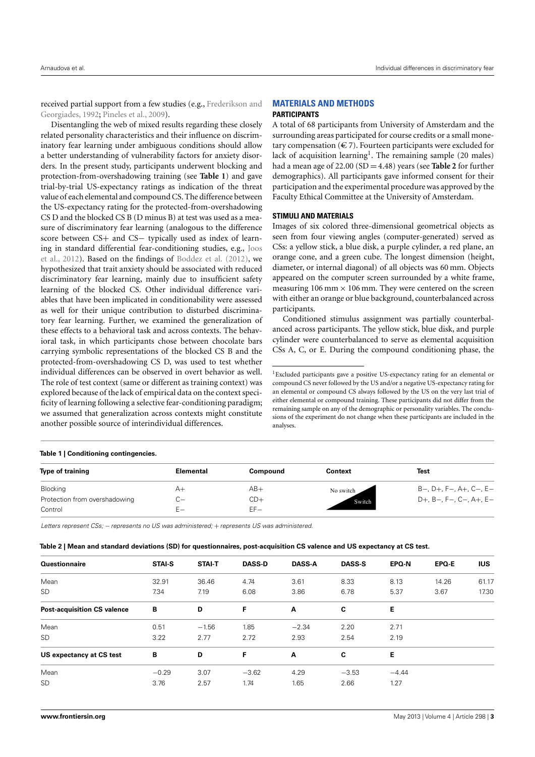received partial support from a few studies (e.g., [Frederikson and](#page-8-22) [Georgiades,](#page-8-22) [1992;](#page-8-22) [Pineles et al.,](#page-8-23) [2009\)](#page-8-23).

Disentangling the web of mixed results regarding these closely related personality characteristics and their influence on discriminatory fear learning under ambiguous conditions should allow a better understanding of vulnerability factors for anxiety disorders. In the present study, participants underwent blocking and protection-from-overshadowing training (see **[Table 1](#page-3-0)**) and gave trial-by-trial US-expectancy ratings as indication of the threat value of each elemental and compound CS. The difference between the US-expectancy rating for the protected-from-overshadowing CS D and the blocked CS B (D minus B) at test was used as a measure of discriminatory fear learning (analogous to the difference score between CS+ and CS- typically used as index of learning in standard differential fear-conditioning studies, e.g., [Joos](#page-8-4) [et al.,](#page-8-4) [2012\)](#page-8-4). Based on the findings of [Boddez et al.](#page-8-14) [\(2012\)](#page-8-14), we hypothesized that trait anxiety should be associated with reduced discriminatory fear learning, mainly due to insufficient safety learning of the blocked CS. Other individual difference variables that have been implicated in conditionability were assessed as well for their unique contribution to disturbed discriminatory fear learning. Further, we examined the generalization of these effects to a behavioral task and across contexts. The behavioral task, in which participants chose between chocolate bars carrying symbolic representations of the blocked CS B and the protected-from-overshadowing CS D, was used to test whether individual differences can be observed in overt behavior as well. The role of test context (same or different as training context) was explored because of the lack of empirical data on the context specificity of learning following a selective fear-conditioning paradigm; we assumed that generalization across contexts might constitute another possible source of interindividual differences.

#### <span id="page-3-0"></span>**Table 1 | Conditioning contingencies.**

#### **Type of training the Compound Compound Context Test** Test Blocking A+ AB+ B−, D+, F−, A+, C−, E− Protection from overshadowing C− CD+ CD+ Rwitch D+, B−, F−, C−, A+, E− Control E− EF− **Switch** No switch

Letters represent CSs; – represents no US was administered; + represents US was administered.

<span id="page-3-2"></span>

|  |  |  |  |  |  | Table 2   Mean and standard deviations (SD) for questionnaires, post-acquisition CS valence and US expectancy at CS test. |
|--|--|--|--|--|--|---------------------------------------------------------------------------------------------------------------------------|
|--|--|--|--|--|--|---------------------------------------------------------------------------------------------------------------------------|

| Questionnaire                      | <b>STAI-S</b> | <b>STAI-T</b> | <b>DASS-D</b> | <b>DASS-A</b> | <b>DASS-S</b> | EPQ-N   | EPQ-E | <b>IUS</b> |
|------------------------------------|---------------|---------------|---------------|---------------|---------------|---------|-------|------------|
| Mean                               | 32.91         | 36.46         | 4.74          | 3.61          | 8.33          | 8.13    | 14.26 | 61.17      |
| SD                                 | 7.34          | 7.19          | 6.08          | 3.86          | 6.78          | 5.37    | 3.67  | 17.30      |
| <b>Post-acquisition CS valence</b> | В             | D             | F             | A             | C             | Е       |       |            |
| Mean                               | 0.51          | $-1.56$       | 1.85          | $-2.34$       | 2.20          | 2.71    |       |            |
| SD                                 | 3.22          | 2.77          | 2.72          | 2.93          | 2.54          | 2.19    |       |            |
| US expectancy at CS test           | B             | D             | F             | A             | C             | Е       |       |            |
| Mean                               | $-0.29$       | 3.07          | $-3.62$       | 4.29          | $-3.53$       | $-4.44$ |       |            |
| SD                                 | 3.76          | 2.57          | 1.74          | 1.65          | 2.66          | 1.27    |       |            |
|                                    |               |               |               |               |               |         |       |            |

# **MATERIALS AND METHODS**

#### **PARTICIPANTS**

A total of 68 participants from University of Amsterdam and the surrounding areas participated for course credits or a small monetary compensation ( $\in$  7). Fourteen participants were excluded for lack of acquisition learning<sup>[1](#page-3-1)</sup>. The remaining sample (20 males) had a mean age of 22.00 (SD = 4.48) years (see **[Table 2](#page-3-2)** for further demographics). All participants gave informed consent for their participation and the experimental procedure was approved by the Faculty Ethical Committee at the University of Amsterdam.

#### **STIMULI AND MATERIALS**

Images of six colored three-dimensional geometrical objects as seen from four viewing angles (computer-generated) served as CSs: a yellow stick, a blue disk, a purple cylinder, a red plane, an orange cone, and a green cube. The longest dimension (height, diameter, or internal diagonal) of all objects was 60 mm. Objects appeared on the computer screen surrounded by a white frame, measuring  $106$  mm  $\times$   $106$  mm. They were centered on the screen with either an orange or blue background, counterbalanced across participants.

Conditioned stimulus assignment was partially counterbalanced across participants. The yellow stick, blue disk, and purple cylinder were counterbalanced to serve as elemental acquisition CSs A, C, or E. During the compound conditioning phase, the

<span id="page-3-1"></span><sup>1</sup>Excluded participants gave a positive US-expectancy rating for an elemental or compound CS never followed by the US and/or a negative US-expectancy rating for an elemental or compound CS always followed by the US on the very last trial of either elemental or compound training. These participants did not differ from the remaining sample on any of the demographic or personality variables. The conclusions of the experiment do not change when these participants are included in the analyses.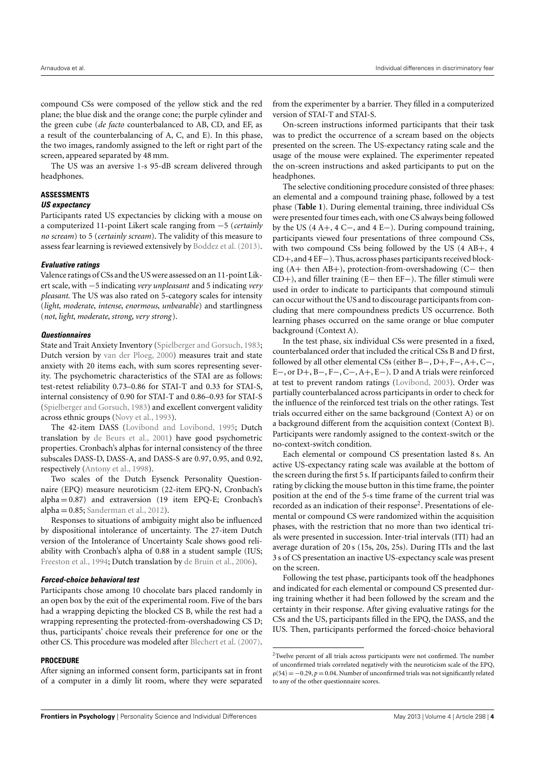compound CSs were composed of the yellow stick and the red plane; the blue disk and the orange cone; the purple cylinder and the green cube (*de facto* counterbalanced to AB, CD, and EF, as a result of the counterbalancing of A, C, and E). In this phase, the two images, randomly assigned to the left or right part of the screen, appeared separated by 48 mm.

The US was an aversive 1-s 95-dB scream delivered through headphones.

#### **ASSESSMENTS**

#### **US expectancy**

Participants rated US expectancies by clicking with a mouse on a computerized 11-point Likert scale ranging from −5 (*certainly no scream*) to 5 (*certainly scream*). The validity of this measure to assess fear learning is reviewed extensively by [Boddez et al.](#page-8-24) [\(2013\)](#page-8-24).

#### **Evaluative ratings**

Valence ratings of CSs and the US were assessed on an 11-point Likert scale, with −5 indicating *very unpleasant* and 5 indicating *very pleasant*. The US was also rated on 5-category scales for intensity (*light*, *moderate*, *intense*, *enormous*, *unbearable*) and startlingness (*not*, *light*, *moderate*, *strong*, *very strong* ).

#### **Questionnaires**

State and Trait Anxiety Inventory [\(Spielberger and Gorsuch,](#page-9-1) [1983;](#page-9-1) Dutch version by [van der Ploeg,](#page-9-6) [2000\)](#page-9-6) measures trait and state anxiety with 20 items each, with sum scores representing severity. The psychometric characteristics of the STAI are as follows: test-retest reliability 0.73–0.86 for STAI-T and 0.33 for STAI-S, internal consistency of 0.90 for STAI-T and 0.86–0.93 for STAI-S [\(Spielberger and Gorsuch,](#page-9-1) [1983\)](#page-9-1) and excellent convergent validity across ethnic groups [\(Novy et al.,](#page-8-25) [1993\)](#page-8-25).

The 42-item DASS [\(Lovibond and Lovibond,](#page-8-17) [1995;](#page-8-17) Dutch translation by [de Beurs et al.,](#page-8-26) [2001\)](#page-8-26) have good psychometric properties. Cronbach's alphas for internal consistency of the three subscales DASS-D, DASS-A, and DASS-S are 0.97, 0.95, and 0.92, respectively [\(Antony et al.,](#page-7-4) [1998\)](#page-7-4).

Two scales of the Dutch Eysenck Personality Questionnaire (EPQ) measure neuroticism (22-item EPQ-N, Cronbach's  $alpha = 0.87$ ) and extraversion (19 item EPQ-E; Cronbach's  $alpha = 0.85$ ; [Sanderman et al.,](#page-8-27) [2012\)](#page-8-27).

Responses to situations of ambiguity might also be influenced by dispositional intolerance of uncertainty. The 27-item Dutch version of the Intolerance of Uncertainty Scale shows good reliability with Cronbach's alpha of 0.88 in a student sample (IUS; [Freeston et al.,](#page-8-28) [1994;](#page-8-28) Dutch translation by [de Bruin et al.,](#page-8-29) [2006\)](#page-8-29).

#### **Forced-choice behavioral test**

Participants chose among 10 chocolate bars placed randomly in an open box by the exit of the experimental room. Five of the bars had a wrapping depicting the blocked CS B, while the rest had a wrapping representing the protected-from-overshadowing CS D; thus, participants' choice reveals their preference for one or the other CS. This procedure was modeled after [Blechert et al.](#page-8-30) [\(2007\)](#page-8-30).

#### **PROCEDURE**

After signing an informed consent form, participants sat in front of a computer in a dimly lit room, where they were separated from the experimenter by a barrier. They filled in a computerized version of STAI-T and STAI-S.

On-screen instructions informed participants that their task was to predict the occurrence of a scream based on the objects presented on the screen. The US-expectancy rating scale and the usage of the mouse were explained. The experimenter repeated the on-screen instructions and asked participants to put on the headphones.

The selective conditioning procedure consisted of three phases: an elemental and a compound training phase, followed by a test phase (**[Table 1](#page-3-0)**). During elemental training, three individual CSs were presented four times each, with one CS always being followed by the US (4 A+, 4 C−, and 4 E−). During compound training, participants viewed four presentations of three compound CSs, with two compound CSs being followed by the US (4 AB+, 4 CD+, and 4 EF−). Thus, across phases participants received blocking (A+ then AB+), protection-from-overshadowing (C− then CD+), and filler training (E− then EF−). The filler stimuli were used in order to indicate to participants that compound stimuli can occur without the US and to discourage participants from concluding that mere compoundness predicts US occurrence. Both learning phases occurred on the same orange or blue computer background (Context A).

In the test phase, six individual CSs were presented in a fixed, counterbalanced order that included the critical CSs B and D first, followed by all other elemental CSs (either B−, D+, F−, A+, C−, E−, or D+, B−, F−, C−, A+, E−). D and A trials were reinforced at test to prevent random ratings [\(Lovibond,](#page-8-31) [2003\)](#page-8-31). Order was partially counterbalanced across participants in order to check for the influence of the reinforced test trials on the other ratings. Test trials occurred either on the same background (Context A) or on a background different from the acquisition context (Context B). Participants were randomly assigned to the context-switch or the no-context-switch condition.

Each elemental or compound CS presentation lasted 8 s. An active US-expectancy rating scale was available at the bottom of the screen during the first 5 s. If participants failed to confirm their rating by clicking the mouse button in this time frame, the pointer position at the end of the 5-s time frame of the current trial was recorded as an indication of their response<sup>[2](#page-4-0)</sup>. Presentations of elemental or compound CS were randomized within the acquisition phases, with the restriction that no more than two identical trials were presented in succession. Inter-trial intervals (ITI) had an average duration of 20 s (15s, 20s, 25s). During ITIs and the last 3 s of CS presentation an inactive US-expectancy scale was present on the screen.

Following the test phase, participants took off the headphones and indicated for each elemental or compound CS presented during training whether it had been followed by the scream and the certainty in their response. After giving evaluative ratings for the CSs and the US, participants filled in the EPQ, the DASS, and the IUS. Then, participants performed the forced-choice behavioral

<span id="page-4-0"></span><sup>2</sup>Twelve percent of all trials across participants were not confirmed. The number of unconfirmed trials correlated negatively with the neuroticism scale of the EPQ,  $\rho(54) = -0.29$ ,  $p = 0.04$ . Number of unconfirmed trials was not significantly related to any of the other questionnaire scores.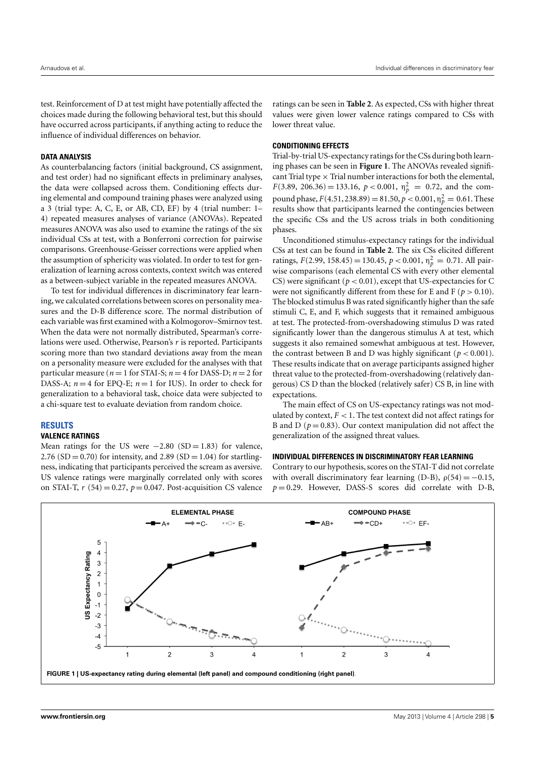test. Reinforcement of D at test might have potentially affected the choices made during the following behavioral test, but this should have occurred across participants, if anything acting to reduce the influence of individual differences on behavior.

#### **DATA ANALYSIS**

As counterbalancing factors (initial background, CS assignment, and test order) had no significant effects in preliminary analyses, the data were collapsed across them. Conditioning effects during elemental and compound training phases were analyzed using a 3 (trial type: A, C, E, or AB, CD, EF) by 4 (trial number: 1– 4) repeated measures analyses of variance (ANOVAs). Repeated measures ANOVA was also used to examine the ratings of the six individual CSs at test, with a Bonferroni correction for pairwise comparisons. Greenhouse-Geisser corrections were applied when the assumption of sphericity was violated. In order to test for generalization of learning across contexts, context switch was entered as a between-subject variable in the repeated measures ANOVA.

To test for individual differences in discriminatory fear learning, we calculated correlations between scores on personality measures and the D-B difference score. The normal distribution of each variable was first examined with a Kolmogorov–Smirnov test. When the data were not normally distributed, Spearman's correlations were used. Otherwise, Pearson's *r* is reported. Participants scoring more than two standard deviations away from the mean on a personality measure were excluded for the analyses with that particular measure ( $n = 1$  for STAI-S;  $n = 4$  for DASS-D;  $n = 2$  for DASS-A;  $n = 4$  for EPQ-E;  $n = 1$  for IUS). In order to check for generalization to a behavioral task, choice data were subjected to a chi-square test to evaluate deviation from random choice.

#### **RESULTS**

#### **VALENCE RATINGS**

Mean ratings for the US were  $-2.80$  (SD = 1.83) for valence, 2.76 (SD = 0.70) for intensity, and 2.89 (SD = 1.04) for startlingness, indicating that participants perceived the scream as aversive. US valence ratings were marginally correlated only with scores on STAI-T,  $r(54) = 0.27$ ,  $p = 0.047$ . Post-acquisition CS valence

ratings can be seen in **[Table 2](#page-3-2)**. As expected, CSs with higher threat values were given lower valence ratings compared to CSs with lower threat value.

#### **CONDITIONING EFFECTS**

Trial-by-trial US-expectancy ratings for the CSs during both learning phases can be seen in **[Figure 1](#page-5-0)**. The ANOVAs revealed significant Trial type  $\times$  Trial number interactions for both the elemental,  $F(3.89, 206.36) = 133.16, p < 0.001, \eta_p^2 = 0.72$ , and the compound phase,  $F(4.51, 238.89) = 81.50, p < 0.001, \eta_p^2 = 0.61$ . These results show that participants learned the contingencies between the specific CSs and the US across trials in both conditioning phases.

Unconditioned stimulus-expectancy ratings for the individual CSs at test can be found in **[Table 2](#page-3-2)**. The six CSs elicited different ratings,  $F(2.99, 158.45) = 130.45, p < 0.001, \eta_p^2 = 0.71$ . All pairwise comparisons (each elemental CS with every other elemental CS) were significant ( $p < 0.01$ ), except that US-expectancies for C were not significantly different from these for E and F ( $p > 0.10$ ). The blocked stimulus B was rated significantly higher than the safe stimuli C, E, and F, which suggests that it remained ambiguous at test. The protected-from-overshadowing stimulus D was rated significantly lower than the dangerous stimulus A at test, which suggests it also remained somewhat ambiguous at test. However, the contrast between B and D was highly significant ( $p < 0.001$ ). These results indicate that on average participants assigned higher threat value to the protected-from-overshadowing (relatively dangerous) CS D than the blocked (relatively safer) CS B, in line with expectations.

The main effect of CS on US-expectancy ratings was not modulated by context,  $F < 1$ . The test context did not affect ratings for B and D ( $p = 0.83$ ). Our context manipulation did not affect the generalization of the assigned threat values.

#### **INDIVIDUAL DIFFERENCES IN DISCRIMINATORY FEAR LEARNING**

Contrary to our hypothesis, scores on the STAI-T did not correlate with overall discriminatory fear learning (D-B),  $\rho(54) = -0.15$ ,  $p = 0.29$ . However, DASS-S scores did correlate with D-B,

<span id="page-5-0"></span>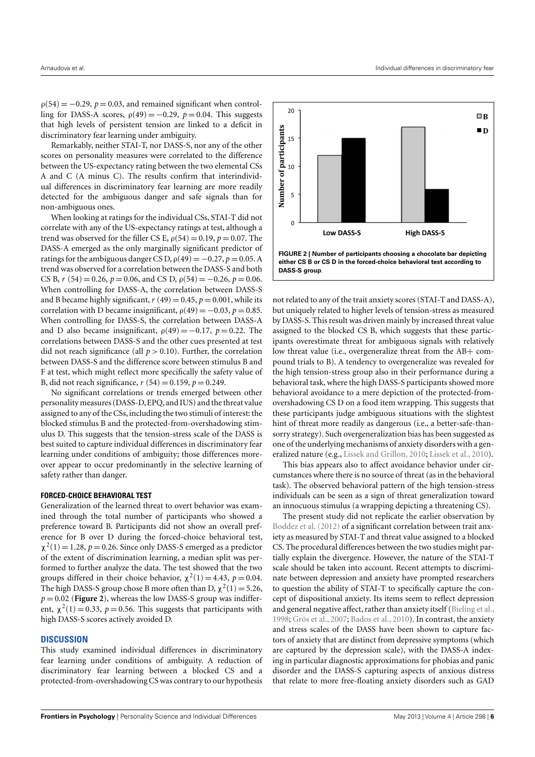$\rho(54) = -0.29$ ,  $p = 0.03$ , and remained significant when controlling for DASS-A scores,  $\rho(49) = -0.29$ ,  $p = 0.04$ . This suggests that high levels of persistent tension are linked to a deficit in discriminatory fear learning under ambiguity.

Remarkably, neither STAI-T, nor DASS-S, nor any of the other scores on personality measures were correlated to the difference between the US-expectancy rating between the two elemental CSs A and C (A minus C). The results confirm that interindividual differences in discriminatory fear learning are more readily detected for the ambiguous danger and safe signals than for non-ambiguous ones.

When looking at ratings for the individual CSs, STAI-T did not correlate with any of the US-expectancy ratings at test, although a trend was observed for the filler CS E,  $\rho(54) = 0.19$ ,  $p = 0.07$ . The DASS-A emerged as the only marginally significant predictor of ratings for the ambiguous danger CS D,  $\rho(49) = -0.27$ ,  $p = 0.05$ . A trend was observed for a correlation between the DASS-S and both CS B,  $r$  (54) = 0.26,  $p = 0.06$ , and CS D,  $\rho(54) = -0.26$ ,  $p = 0.06$ . When controlling for DASS-A, the correlation between DASS-S and B became highly significant,  $r(49) = 0.45$ ,  $p = 0.001$ , while its correlation with D became insignificant,  $\rho(49) = -0.03$ ,  $p = 0.85$ . When controlling for DASS-S, the correlation between DASS-A and D also became insignificant,  $\rho(49) = -0.17$ ,  $p = 0.22$ . The correlations between DASS-S and the other cues presented at test did not reach significance (all  $p > 0.10$ ). Further, the correlation between DASS-S and the difference score between stimulus B and F at test, which might reflect more specifically the safety value of B, did not reach significance,  $r(54) = 0.159$ ,  $p = 0.249$ .

No significant correlations or trends emerged between other personality measures (DASS-D, EPQ, and IUS) and the threat value assigned to any of the CSs, including the two stimuli of interest: the blocked stimulus B and the protected-from-overshadowing stimulus D. This suggests that the tension-stress scale of the DASS is best suited to capture individual differences in discriminatory fear learning under conditions of ambiguity; those differences moreover appear to occur predominantly in the selective learning of safety rather than danger.

#### **FORCED-CHOICE BEHAVIORAL TEST**

Generalization of the learned threat to overt behavior was examined through the total number of participants who showed a preference toward B. Participants did not show an overall preference for B over D during the forced-choice behavioral test,  $\chi^2(1) = 1.28$ ,  $p = 0.26$ . Since only DASS-S emerged as a predictor of the extent of discrimination learning, a median split was performed to further analyze the data. The test showed that the two groups differed in their choice behavior,  $\chi^2(1) = 4.43$ ,  $p = 0.04$ . The high DASS-S group chose B more often than D,  $\chi^2(1) = 5.26$ ,  $p = 0.02$  (**[Figure 2](#page-6-0)**), whereas the low DASS-S group was indifferent,  $\chi^2(1) = 0.33$ ,  $p = 0.56$ . This suggests that participants with high DASS-S scores actively avoided D.

#### **DISCUSSION**

This study examined individual differences in discriminatory fear learning under conditions of ambiguity. A reduction of discriminatory fear learning between a blocked CS and a protected-from-overshadowing CS was contrary to our hypothesis



<span id="page-6-0"></span>not related to any of the trait anxiety scores (STAI-T and DASS-A), but uniquely related to higher levels of tension-stress as measured by DASS-S. This result was driven mainly by increased threat value assigned to the blocked CS B, which suggests that these participants overestimate threat for ambiguous signals with relatively low threat value (i.e., overgeneralize threat from the AB+ compound trials to B). A tendency to overgeneralize was revealed for the high tension-stress group also in their performance during a behavioral task, where the high DASS-S participants showed more behavioral avoidance to a mere depiction of the protected-fromovershadowing CS D on a food item wrapping. This suggests that these participants judge ambiguous situations with the slightest hint of threat more readily as dangerous (i.e., a better-safe-thansorry strategy). Such overgeneralization bias has been suggested as one of the underlying mechanisms of anxiety disorders with a generalized nature (e.g., [Lissek and Grillon,](#page-8-32) [2010;](#page-8-32) [Lissek et al.,](#page-8-33) [2010\)](#page-8-33).

This bias appears also to affect avoidance behavior under circumstances where there is no source of threat (as in the behavioral task). The observed behavioral pattern of the high tension-stress individuals can be seen as a sign of threat generalization toward an innocuous stimulus (a wrapping depicting a threatening CS).

The present study did not replicate the earlier observation by [Boddez et al.](#page-8-14) [\(2012\)](#page-8-14) of a significant correlation between trait anxiety as measured by STAI-T and threat value assigned to a blocked CS. The procedural differences between the two studies might partially explain the divergence. However, the nature of the STAI-T scale should be taken into account. Recent attempts to discriminate between depression and anxiety have prompted researchers to question the ability of STAI-T to specifically capture the concept of dispositional anxiety. Its items seem to reflect depression and general negative affect, rather than anxiety itself [\(Bieling et al.,](#page-8-15) [1998;](#page-8-15) [Grös et al.,](#page-8-16) [2007;](#page-8-16) [Bados et al.,](#page-7-2) [2010\)](#page-7-2). In contrast, the anxiety and stress scales of the DASS have been shown to capture factors of anxiety that are distinct from depressive symptoms (which are captured by the depression scale), with the DASS-A indexing in particular diagnostic approximations for phobias and panic disorder and the DASS-S capturing aspects of anxious distress that relate to more free-floating anxiety disorders such as GAD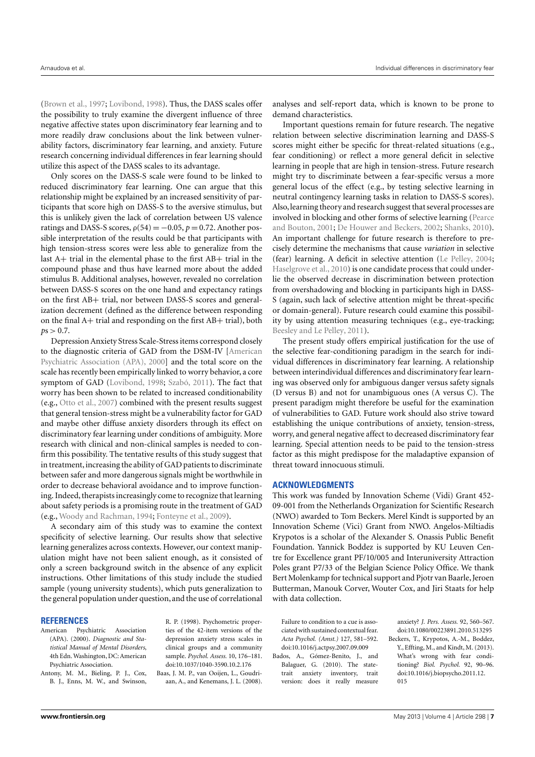[\(Brown et al.,](#page-8-20) [1997;](#page-8-20) [Lovibond,](#page-8-34) [1998\)](#page-8-34). Thus, the DASS scales offer the possibility to truly examine the divergent influence of three negative affective states upon discriminatory fear learning and to more readily draw conclusions about the link between vulnerability factors, discriminatory fear learning, and anxiety. Future research concerning individual differences in fear learning should utilize this aspect of the DASS scales to its advantage.

Only scores on the DASS-S scale were found to be linked to reduced discriminatory fear learning. One can argue that this relationship might be explained by an increased sensitivity of participants that score high on DASS-S to the aversive stimulus, but this is unlikely given the lack of correlation between US valence ratings and DASS-S scores,  $\rho(54) = -0.05$ ,  $p = 0.72$ . Another possible interpretation of the results could be that participants with high tension-stress scores were less able to generalize from the last A+ trial in the elemental phase to the first AB+ trial in the compound phase and thus have learned more about the added stimulus B. Additional analyses, however, revealed no correlation between DASS-S scores on the one hand and expectancy ratings on the first AB+ trial, nor between DASS-S scores and generalization decrement (defined as the difference between responding on the final A+ trial and responding on the first AB+ trial), both  $p s > 0.7$ .

Depression Anxiety Stress Scale-Stress items correspond closely to the diagnostic criteria of GAD from the DSM-IV [\[American](#page-7-3) [Psychiatric Association \(APA\),](#page-7-3) [2000\]](#page-7-3) and the total score on the scale has recently been empirically linked to worry behavior, a core symptom of GAD [\(Lovibond,](#page-8-34) [1998;](#page-8-34) [Szabó,](#page-9-5) [2011\)](#page-9-5). The fact that worry has been shown to be related to increased conditionability (e.g., [Otto et al.,](#page-8-1) [2007\)](#page-8-1) combined with the present results suggest that general tension-stress might be a vulnerability factor for GAD and maybe other diffuse anxiety disorders through its effect on discriminatory fear learning under conditions of ambiguity. More research with clinical and non-clinical samples is needed to confirm this possibility. The tentative results of this study suggest that in treatment, increasing the ability of GAD patients to discriminate between safer and more dangerous signals might be worthwhile in order to decrease behavioral avoidance and to improve functioning. Indeed, therapists increasingly come to recognize that learning about safety periods is a promising route in the treatment of GAD (e.g., [Woody and Rachman,](#page-9-7) [1994;](#page-9-7) [Fonteyne et al.,](#page-8-35) [2009\)](#page-8-35).

A secondary aim of this study was to examine the context specificity of selective learning. Our results show that selective learning generalizes across contexts. However, our context manipulation might have not been salient enough, as it consisted of only a screen background switch in the absence of any explicit instructions. Other limitations of this study include the studied sample (young university students), which puts generalization to the general population under question, and the use of correlational

#### **REFERENCES**

<span id="page-7-3"></span>American Psychiatric Association (APA). (2000). *Diagnostic and Statistical Manual of Mental Disorders*, 4th Edn.Washington, DC: American Psychiatric Association.

<span id="page-7-4"></span>Antony, M. M., Bieling, P. J., Cox, B. J., Enns, M. W., and Swinson, R. P. (1998). Psychometric properties of the 42-item versions of the depression anxiety stress scales in clinical groups and a community sample. *Psychol. Assess.* 10, 176–181. doi[:10.1037/1040-3590.10.2.176](http://dx.doi.org/10.1037/1040-3590.10.2.176)

<span id="page-7-1"></span>Baas, J. M. P., van Ooijen, L., Goudriaan, A., and Kenemans, J. L. (2008). analyses and self-report data, which is known to be prone to demand characteristics.

Important questions remain for future research. The negative relation between selective discrimination learning and DASS-S scores might either be specific for threat-related situations (e.g., fear conditioning) or reflect a more general deficit in selective learning in people that are high in tension-stress. Future research might try to discriminate between a fear-specific versus a more general locus of the effect (e.g., by testing selective learning in neutral contingency learning tasks in relation to DASS-S scores). Also,learning theory and research suggest that several processes are involved in blocking and other forms of selective learning [\(Pearce](#page-8-36) [and Bouton,](#page-8-36) [2001;](#page-8-36) [De Houwer and Beckers,](#page-8-37) [2002;](#page-8-37) [Shanks,](#page-9-8) [2010\)](#page-9-8). An important challenge for future research is therefore to precisely determine the mechanisms that cause *variation* in selective (fear) learning. A deficit in selective attention [\(Le Pelley,](#page-8-38) [2004;](#page-8-38) [Haselgrove et al.,](#page-8-39) [2010\)](#page-8-39) is one candidate process that could underlie the observed decrease in discrimination between protection from overshadowing and blocking in participants high in DASS-S (again, such lack of selective attention might be threat-specific or domain-general). Future research could examine this possibility by using attention measuring techniques (e.g., eye-tracking; [Beesley and Le Pelley,](#page-8-40) [2011\)](#page-8-40).

The present study offers empirical justification for the use of the selective fear-conditioning paradigm in the search for individual differences in discriminatory fear learning. A relationship between interindividual differences and discriminatory fear learning was observed only for ambiguous danger versus safety signals (D versus B) and not for unambiguous ones (A versus C). The present paradigm might therefore be useful for the examination of vulnerabilities to GAD. Future work should also strive toward establishing the unique contributions of anxiety, tension-stress, worry, and general negative affect to decreased discriminatory fear learning. Special attention needs to be paid to the tension-stress factor as this might predispose for the maladaptive expansion of threat toward innocuous stimuli.

#### **ACKNOWLEDGMENTS**

This work was funded by Innovation Scheme (Vidi) Grant 452- 09-001 from the Netherlands Organization for Scientific Research (NWO) awarded to Tom Beckers. Merel Kindt is supported by an Innovation Scheme (Vici) Grant from NWO. Angelos-Miltiadis Krypotos is a scholar of the Alexander S. Onassis Public Benefit Foundation. Yannick Boddez is supported by KU Leuven Centre for Excellence grant PF/10/005 and Interuniversity Attraction Poles grant P7/33 of the Belgian Science Policy Office. We thank Bert Molenkamp for technical support and Pjotr van Baarle, Jeroen Butterman, Manouk Corver, Wouter Cox, and Jiri Staats for help with data collection.

Failure to condition to a cue is associated with sustained contextual fear. *Acta Psychol. (Amst.)* 127, 581–592. doi[:10.1016/j.actpsy.2007.09.009](http://dx.doi.org/10.1016/j.actpsy.2007.09.009)

<span id="page-7-2"></span>Bados, A., Gómez-Benito, J., and Balaguer, G. (2010). The statetrait anxiety inventory, trait version: does it really measure

<span id="page-7-0"></span>anxiety? *J. Pers. Assess.* 92, 560–567. doi[:10.1080/00223891.2010.513295](http://dx.doi.org/10.1080/00223891.2010.513295) Beckers, T., Krypotos, A.-M., Boddez, Y., Effting, M., and Kindt, M. (2013). What's wrong with fear conditioning? *Biol. Psychol.* 92, 90–96. doi[:10.1016/j.biopsycho.2011.12.](http://dx.doi.org/10.1016/j.biopsycho.2011.12.{\penalty -\@M }015) [015](http://dx.doi.org/10.1016/j.biopsycho.2011.12.{\penalty -\@M }015)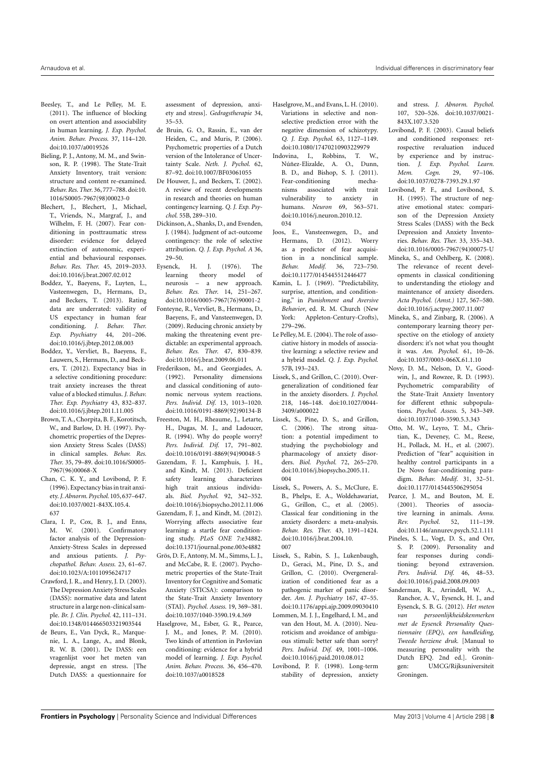- <span id="page-8-40"></span>Beesley, T., and Le Pelley, M. E. (2011). The influence of blocking on overt attention and associability in human learning. *J. Exp. Psychol. Anim. Behav. Process.* 37, 114–120. doi[:10.1037/a0019526](http://dx.doi.org/10.1037/a0019526)
- <span id="page-8-15"></span>Bieling, P. J., Antony, M. M., and Swinson, R. P. (1998). The State-Trait Anxiety Inventory, trait version: structure and content re-examined. *Behav. Res. Ther.* 36,777–788. doi[:10.](http://dx.doi.org/10.{\penalty -\@M }1016/S0005-7967(98)00023-0) [1016/S0005-7967\(98\)00023-0](http://dx.doi.org/10.{\penalty -\@M }1016/S0005-7967(98)00023-0)
- <span id="page-8-30"></span>Blechert, J., Blechert, J., Michael, T., Vriends, N., Margraf, J., and Wilhelm, F. H. (2007). Fear conditioning in posttraumatic stress disorder: evidence for delayed extinction of autonomic, experiential and behavioural responses. *Behav. Res. Ther.* 45, 2019–2033. doi[:10.1016/j.brat.2007.02.012](http://dx.doi.org/10.1016/j.brat.2007.02.012)
- <span id="page-8-24"></span>Boddez, Y., Baeyens, F., Luyten, L., Vasteenwegen, D., Hermans, D., and Beckers, T. (2013). Rating data are underrated: validity of US expectancy in human fear conditioning. *J. Behav. Ther. Exp. Psychiatry* 44, 201–206. doi[:10.1016/j.jbtep.2012.08.003](http://dx.doi.org/10.1016/j.jbtep.2012.08.003)
- <span id="page-8-14"></span>Boddez, Y., Vervliet, B., Baeyens, F., Lauwers, S., Hermans, D., and Beckers, T. (2012). Expectancy bias in a selective conditioning procedure: trait anxiety increases the threat value of a blocked stimulus. *J. Behav. Ther. Exp. Psychiatry* 43, 832–837. doi[:10.1016/j.jbtep.2011.11.005](http://dx.doi.org/10.1016/j.jbtep.2011.11.005)
- <span id="page-8-20"></span>Brown, T. A., Chorpita, B. F., Korotitsch, W., and Barlow, D. H. (1997). Psychometric properties of the Depression Anxiety Stress Scales (DASS) in clinical samples. *Behav. Res. Ther.* 35, 79–89. doi[:10.1016/S0005-](http://dx.doi.org/10.1016/S0005-7967(96)00068-X) [7967\(96\)00068-X](http://dx.doi.org/10.1016/S0005-7967(96)00068-X)
- <span id="page-8-10"></span>Chan, C. K. Y., and Lovibond, P. F. (1996). Expectancy bias in trait anxiety.*J. Abnorm. Psychol.* 105,637–647. doi[:10.1037/0021-843X.105.4.](http://dx.doi.org/10.1037/0021-843X.105.4.{\penalty -\@M }637) [637](http://dx.doi.org/10.1037/0021-843X.105.4.{\penalty -\@M }637)
- <span id="page-8-18"></span>Clara, I. P., Cox, B. J., and Enns, M. W. (2001). Confirmatory factor analysis of the Depression-Anxiety-Stress Scales in depressed and anxious patients. *J. Psychopathol. Behav. Assess.* 23, 61–67. doi[:10.1023/A:1011095624717](http://dx.doi.org/10.1023/A:1011095624717)
- <span id="page-8-19"></span>Crawford, J. R., and Henry, J. D. (2003). The Depression Anxiety Stress Scales (DASS): normative data and latent structure in a large non-clinical sample. *Br. J. Clin. Psychol.* 42, 111–131. doi[:10.1348/014466503321903544](http://dx.doi.org/10.1348/014466503321903544)
- <span id="page-8-26"></span>de Beurs, E., Van Dyck, R., Marquenie, L. A., Lange, A., and Blonk, R. W. B. (2001). De DASS: een vragenlijst voor het meten van depressie, angst en stress. [The Dutch DASS: a questionnaire for

assessment of depression, anxiety and stress]. *Gedragstherapie* 34, 35–53.

- <span id="page-8-29"></span>de Bruin, G. O., Rassin, E., van der Heiden, C., and Muris, P. (2006). Psychometric properties of a Dutch version of the Intolerance of Uncertainty Scale. *Neth. J. Pychol.* 62, 87–92. doi[:10.1007/BF03061055](http://dx.doi.org/10.1007/BF03061055)
- <span id="page-8-37"></span>De Houwer, J., and Beckers, T. (2002). A review of recent developments in research and theories on human contingency learning. *Q. J. Exp. Psychol.* 55B, 289–310.
- <span id="page-8-12"></span>Dickinson, A., Shanks, D., and Evenden, J. (1984). Judgment of act-outcome contingency: the role of selective attribution. *Q. J. Exp. Psychol. A* 36, 29–50.
- <span id="page-8-2"></span>Eysenck, H. J. (1976). The learning theory model of neurosis – a new approach. *Behav. Res. Ther.* 14, 251–267. doi[:10.1016/0005-7967\(76\)90001-2](http://dx.doi.org/10.1016/0005-7967(76)90001-2)
- <span id="page-8-35"></span>Fonteyne, R., Vervliet, B., Hermans, D., Baeyens, F., and Vansteenwegen, D. (2009). Reducing chronic anxiety by making the threatening event predictable: an experimental approach. *Behav. Res. Ther.* 47, 830–839. doi[:10.1016/j.brat.2009.06.011](http://dx.doi.org/10.1016/j.brat.2009.06.011)
- <span id="page-8-22"></span>Frederikson, M., and Georgiades, A. (1992). Personality dimensions and classical conditioning of autonomic nervous system reactions. *Pers. Individ. Dif.* 13, 1013–1020. doi[:10.1016/0191-8869\(92\)90134-B](http://dx.doi.org/10.1016/0191-8869(92)90134-B)
- <span id="page-8-28"></span><span id="page-8-8"></span>Freeston, M. H., Rheaume, J., Letarte, H., Dugas, M. J., and Ladoucer, R. (1994). Why do people worry? *Pers. Individ. Dif.* 17, 791–802. doi[:10.1016/0191-8869\(94\)90048-5](http://dx.doi.org/10.1016/0191-8869(94)90048-5) Gazendam, F. J., Kamphuis, J. H., and Kindt, M. (2013). Deficient safety learning characterizes high trait anxious individuals. *Biol. Psychol.* 92, 342–352. doi[:10.1016/j.biopsycho.2012.11.006](http://dx.doi.org/10.1016/j.biopsycho.2012.11.006) Gazendam, F. J., and Kindt, M. (2012). Worrying affects associative fear learning: a startle fear conditioning study. *PLoS ONE* 7:e34882.
- <span id="page-8-21"></span><span id="page-8-16"></span>doi[:10.1371/journal.pone.003e4882](http://dx.doi.org/10.1371/journal.pone.003e4882) Grös, D. F., Antony, M. M., Simms, L. J., and McCabe, R. E. (2007). Psychometric properties of the State-Trait Inventory for Cognitive and Somatic Anxiety (STICSA): comparison to the State-Trait Anxiety Inventory (STAI). *Psychol. Assess.* 19, 369–381.
- <span id="page-8-39"></span>doi[:10.1037/1040-3590.19.4.369](http://dx.doi.org/10.1037/1040-3590.19.4.369) Haselgrove, M., Esber, G. R., Pearce, J. M., and Jones, P. M. (2010). Two kinds of attention in Pavlovian conditioning: evidence for a hybrid model of learning. *J. Exp. Psychol. Anim. Behav. Process.* 36, 456–470. doi[:10.1037/a0018528](http://dx.doi.org/10.1037/a0018528)
- <span id="page-8-13"></span>Haselgrove,M., and Evans, L. H. (2010). Variations in selective and nonselective prediction error with the negative dimension of schizotypy. *Q. J. Exp. Psychol.* 63, 1127–1149. doi[:10.1080/17470210903229979](http://dx.doi.org/10.1080/17470210903229979)
- <span id="page-8-7"></span>Indovina, I., Robbins, T. W., Núñez-Elizalde, A. O., Dunn, B. D., and Bishop, S. J. (2011). Fear-conditioning mechanisms associated with trait vulnerability to anxiety in humans. *Neuron* 69, 563–571. doi[:10.1016/j.neuron.2010.12.](http://dx.doi.org/10.1016/j.neuron.2010.12.{\penalty -\@M }034) [034](http://dx.doi.org/10.1016/j.neuron.2010.12.{\penalty -\@M }034)
- <span id="page-8-4"></span>Joos, E., Vansteenwegen, D., and Hermans, D. (2012). Worry as a predictor of fear acquisition in a nonclinical sample. *Behav. Modif.* 36, 723–750. doi[:10.1177/0145445512446477](http://dx.doi.org/10.1177/0145445512446477)
- <span id="page-8-11"></span>Kamin, L. J. (1969). "Predictability, surprise, attention, and conditioning," in *Punishment and Aversive Behavior*, ed. R. M. Church (New York: Appleton-Century-Crofts), 279–296.
- <span id="page-8-38"></span>Le Pelley, M. E. (2004). The role of associative history in models of associative learning: a selective review and a hybrid model. *Q. J. Exp. Psychol.* 57B, 193–243.
- <span id="page-8-32"></span>Lissek, S., and Grillon, C. (2010). Overgeneralization of conditioned fear in the anxiety disorders. *J. Psychol.* 218, 146–148. doi[:10.1027/0044-](http://dx.doi.org/10.1027/0044-3409/a000022) [3409/a000022](http://dx.doi.org/10.1027/0044-3409/a000022)
- <span id="page-8-5"></span>Lissek, S., Pine, D. S., and Grillon, C. (2006). The strong situation: a potential impediment to studying the psychobiology and pharmacology of anxiety disorders. *Biol. Psychol.* 72, 265–270. doi[:10.1016/j.biopsycho.2005.11.](http://dx.doi.org/10.1016/j.biopsycho.2005.11.{\penalty -\@M }004) [004](http://dx.doi.org/10.1016/j.biopsycho.2005.11.{\penalty -\@M }004)
- <span id="page-8-3"></span>Lissek, S., Powers, A. S., McClure, E. B., Phelps, E. A., Woldehawariat, G., Grillon, C., et al. (2005). Classical fear conditioning in the anxiety disorders: a meta-analysis. *Behav. Res. Ther.* 43, 1391–1424. doi[:10.1016/j.brat.2004.10.](http://dx.doi.org/10.1016/j.brat.2004.10.{\penalty -\@M }007) [007](http://dx.doi.org/10.1016/j.brat.2004.10.{\penalty -\@M }007)
- <span id="page-8-33"></span>Lissek, S., Rabin, S. J., Lukenbaugh, D., Geraci, M., Pine, D. S., and Grillon, C. (2010). Overgeneralization of conditioned fear as a pathogenic marker of panic disorder. *Am. J. Psychiatry* 167, 47–55. doi[:10.1176/appi.ajp.2009.09030410](http://dx.doi.org/10.1176/appi.ajp.2009.09030410)
- <span id="page-8-9"></span>Lommen, M. J. J., Engelhard, I. M., and van den Hout, M. A. (2010). Neuroticism and avoidance of ambiguous stimuli: better safe than sorry? *Pers. Individ. Dif.* 49, 1001–1006. doi[:10.1016/j.paid.2010.08.012](http://dx.doi.org/10.1016/j.paid.2010.08.012)
- <span id="page-8-34"></span>Lovibond, P. F. (1998). Long-term stability of depression, anxiety

and stress. *J. Abnorm. Psychol.* 107, 520–526. doi[:10.1037/0021-](http://dx.doi.org/10.1037/0021-843X.107.3.520) [843X.107.3.520](http://dx.doi.org/10.1037/0021-843X.107.3.520)

- <span id="page-8-31"></span>Lovibond, P. F. (2003). Causal beliefs and conditioned responses: retrospective revaluation induced by experience and by instruction. *J. Exp. Psychol. Learn. Mem. Cogn.* 29, 97–106. doi[:10.1037/0278-7393.29.1.97](http://dx.doi.org/10.1037/0278-7393.29.1.97)
- <span id="page-8-17"></span>Lovibond, P. F., and Lovibond, S. H. (1995). The structure of negative emotional states: comparison of the Depression Anxiety Stress Scales (DASS) with the Beck Depression and Anxiety Inventories. *Behav. Res. Ther.* 33, 335–343. doi[:10.1016/0005-7967\(94\)00075-U](http://dx.doi.org/10.1016/0005-7967(94)00075-U)
- <span id="page-8-6"></span>Mineka, S., and Oehlberg, K. (2008). The relevance of recent developments in classical conditioning to understanding the etiology and maintenance of anxiety disorders. *Acta Psychol. (Amst.)* 127, 567–580. doi[:10.1016/j.actpsy.2007.11.007](http://dx.doi.org/10.1016/j.actpsy.2007.11.007)
- <span id="page-8-0"></span>Mineka, S., and Zinbarg, R. (2006). A contemporary learning theory perspective on the etiology of anxiety disorders: it's not what you thought it was. *Am. Psychol.* 61, 10–26. doi[:10.1037/0003-066X.61.1.10](http://dx.doi.org/10.1037/0003-066X.61.1.10)
- <span id="page-8-25"></span>Novy, D. M., Nelson, D. V., Goodwin, J., and Rowzee, R. D. (1993). Psychometric comparability of the State-Trait Anxiety Inventory for different ethnic subpopulations. *Psychol. Assess.* 5, 343–349. doi[:10.1037/1040-3590.5.3.343](http://dx.doi.org/10.1037/1040-3590.5.3.343)
- <span id="page-8-1"></span>Otto, M. W., Leyro, T. M., Christian, K., Deveney, C. M., Reese, H., Pollack, M. H., et al. (2007). Prediction of "fear" acquisition in healthy control participants in a De Novo fear-conditioning paradigm. *Behav. Modif.* 31, 32–51. doi[:10.1177/0145445506295054](http://dx.doi.org/10.1177/0145445506295054)
- <span id="page-8-36"></span>Pearce, J. M., and Bouton, M. E. (2001). Theories of associative learning in animals. *Annu. Rev. Psychol.* 52, 111–139. doi[:10.1146/annurev.psych.52.1.111](http://dx.doi.org/10.1146/annurev.psych.52.1.111)
- <span id="page-8-23"></span>Pineles, S. L., Vogt, D. S., and Orr, S. P. (2009). Personality and fear responses during conditioning: beyond extraversion. *Pers. Individ. Dif.* 46, 48–53. doi[:10.1016/j.paid.2008.09.003](http://dx.doi.org/10.1016/j.paid.2008.09.003)
- <span id="page-8-27"></span>Sanderman, R., Arrindell, W. A., Ranchor, A. V., Eysenck, H. J., and Eysenck, S. B. G. (2012). *Het meten van persoonlijkheidskenmerken met de Eysenck Personality Questionnaire (EPQ)*, *een handleiding, Tweede herziene druk.* [Manual to measuring personality with the Dutch EPQ. 2nd ed.]. Groningen: UMCG/Rijksuniversiteit Groningen.